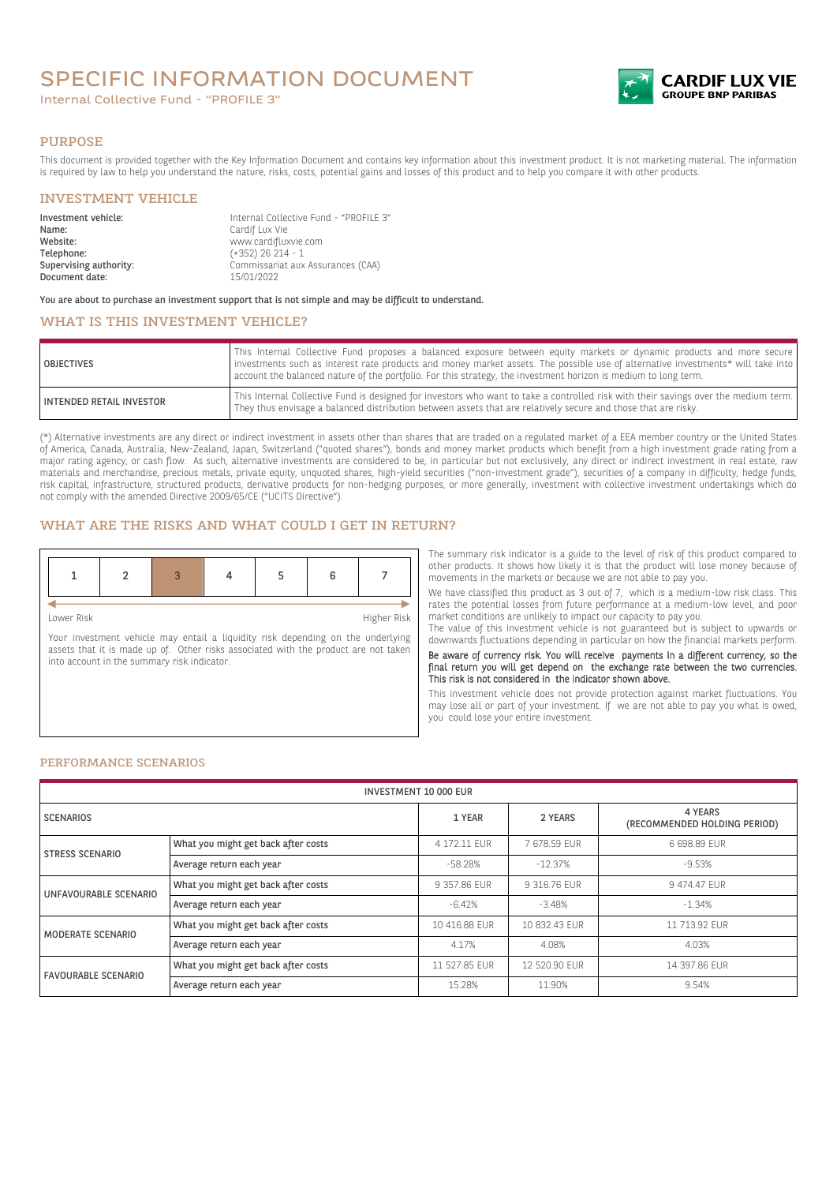# SPECIFIC INFORMATION DOCUMENT

Internal Collective Fund - "PROFILE 3"



#### PURPOSE

This document is provided together with the Key Information Document and contains key information about this investment product. It is not marketing material. The information is required by law to help you understand the nature, risks, costs, potential gains and losses of this product and to help you compare it with other products.

#### INVESTMENT VEHICLE

| Investment vehicle:<br>Name: | Internal Collective Fund - "PROFILE 3"<br>Cardif Lux Vie |
|------------------------------|----------------------------------------------------------|
| Website:                     | www.cardifluxvie.com                                     |
| Telephone:                   | $(+352)$ 26 214 - 1                                      |
| Supervising authority:       | Commissariat aux Assurances (CAA)                        |
| Document date:               | 15/01/2022                                               |

You are about to purchase an investment support that is not simple and may be difficult to understand.

## WHAT IS THIS INVESTMENT VEHICLE?

| <b>OBJECTIVES</b>               | This Internal Collective Fund proposes a balanced exposure between equity markets or dynamic products and more secure<br>investments such as interest rate products and money market assets. The possible use of alternative investments* will take into<br>account the balanced nature of the portfolio. For this strategy, the investment horizon is medium to long term. |
|---------------------------------|-----------------------------------------------------------------------------------------------------------------------------------------------------------------------------------------------------------------------------------------------------------------------------------------------------------------------------------------------------------------------------|
| <b>INTENDED RETAIL INVESTOR</b> | This Internal Collective Fund is designed for investors who want to take a controlled risk with their savings over the medium term.<br>They thus envisage a balanced distribution between assets that are relatively secure and those that are risky.                                                                                                                       |

(\*) Alternative investments are any direct or indirect investment in assets other than shares that are traded on a regulated market of a EEA member country or the United States of America, Canada, Australia, New-Zealand, Japan, Switzerland ("quoted shares"), bonds and money market products which benefit from a high investment grade rating from a major rating agency, or cash flow. As such, alternative investments are considered to be, in particular but not exclusively, any direct or indirect investment in real estate, raw materials and merchandise, precious metals, private equity, unquoted shares, high-yield securities ("non-investment grade"), securities of a company in difficulty, hedge funds, risk capital, infrastructure, structured products, derivative products for non-hedging purposes, or more generally, investment with collective investment undertakings which do not comply with the amended Directive 2009/65/CE ("UCITS Directive").

#### WHAT ARE THE RISKS AND WHAT COULD I GET IN RETURN?

| Lower Risk |  |  | Higher Risk |
|------------|--|--|-------------|

Your investment vehicle may entail a liquidity risk depending on the underlying assets that it is made up of. Other risks associated with the product are not taken into account in the summary risk indicator.

The summary risk indicator is a guide to the level of risk of this product compared to other products. It shows how likely it is that the product will lose money because of movements in the markets or because we are not able to pay you.

We have classified this product as 3 out of 7, which is a medium-low risk class. This rates the potential losses from future performance at a medium-low level, and poor market conditions are unlikely to impact our capacity to pay you.

The value of this investment vehicle is not guaranteed but is subject to upwards or downwards fluctuations depending in particular on how the financial markets perform.

Be aware of currency risk. You will receive payments in a different currency, so the final return you will get depend on the exchange rate between the two currencies. This risk is not considered in the indicator shown above.

This investment vehicle does not provide protection against market fluctuations. You may lose all or part of your investment. If we are not able to pay you what is owed, you could lose your entire investment.

#### PERFORMANCE SCENARIOS

| <b>INVESTMENT 10 000 EUR</b> |                                     |               |               |                                         |
|------------------------------|-------------------------------------|---------------|---------------|-----------------------------------------|
| <b>SCENARIOS</b>             |                                     | 1 YEAR        | 2 YEARS       | 4 YEARS<br>(RECOMMENDED HOLDING PERIOD) |
| <b>STRESS SCENARIO</b>       | What you might get back after costs | 4 172.11 FUR  | 7678.59 FUR   | 6 698.89 FUR                            |
|                              | Average return each year            | $-58.28%$     | $-12.37%$     | $-9.53%$                                |
| UNFAVOURABLE SCENARIO        | What you might get back after costs | 9 357.86 EUR  | 9 316.76 EUR  | 9474.47 EUR                             |
|                              | Average return each year            | $-6.42%$      | $-3.48%$      | $-1.34%$                                |
| MODERATE SCENARIO            | What you might get back after costs | 10 416.88 EUR | 10 832.43 EUR | 11 713.92 EUR                           |
|                              | Average return each year            | 4.17%         | 4.08%         | 4.03%                                   |
| <b>FAVOURABLE SCENARIO</b>   | What you might get back after costs | 11 527.85 EUR | 12 520.90 EUR | 14 397.86 EUR                           |
|                              | Average return each year            | 15.28%        | 11.90%        | 9.54%                                   |